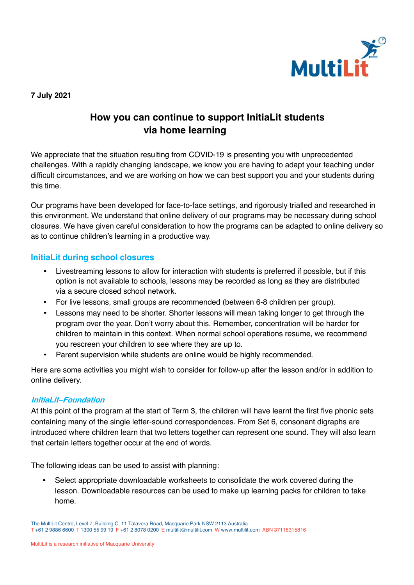

#### **7 July 2021**

# **How you can continue to support InitiaLit students via home learning**

We appreciate that the situation resulting from COVID-19 is presenting you with unprecedented challenges. With a rapidly changing landscape, we know you are having to adapt your teaching under difficult circumstances, and we are working on how we can best support you and your students during this time.

Our programs have been developed for face-to-face settings, and rigorously trialled and researched in this environment. We understand that online delivery of our programs may be necessary during school closures. We have given careful consideration to how the programs can be adapted to online delivery so as to continue children's learning in a productive way.

#### **InitiaLit during school closures**

- Livestreaming lessons to allow for interaction with students is preferred if possible, but if this option is not available to schools, lessons may be recorded as long as they are distributed via a secure closed school network.
- For live lessons, small groups are recommended (between 6-8 children per group).
- Lessons may need to be shorter. Shorter lessons will mean taking longer to get through the program over the year. Don't worry about this. Remember, concentration will be harder for children to maintain in this context. When normal school operations resume, we recommend you rescreen your children to see where they are up to.
- Parent supervision while students are online would be highly recommended.

Here are some activities you might wish to consider for follow-up after the lesson and/or in addition to online delivery.

#### **InitiaLit–Foundation**

At this point of the program at the start of Term 3, the children will have learnt the first five phonic sets containing many of the single letter-sound correspondences. From Set 6, consonant digraphs are introduced where children learn that two letters together can represent one sound. They will also learn that certain letters together occur at the end of words.

The following ideas can be used to assist with planning:

Select appropriate downloadable worksheets to consolidate the work covered during the lesson. Downloadable resources can be used to make up learning packs for children to take home.

The MultiLit Centre, Level 7, Building C, 11 Talavera Road, Macquarie Park NSW 2113 Australia T +61 2 9886 6600 T 1300 55 99 19 F +61 2 8078 0200 E multilit@multilit.com W www.multilit.com ABN 37118315816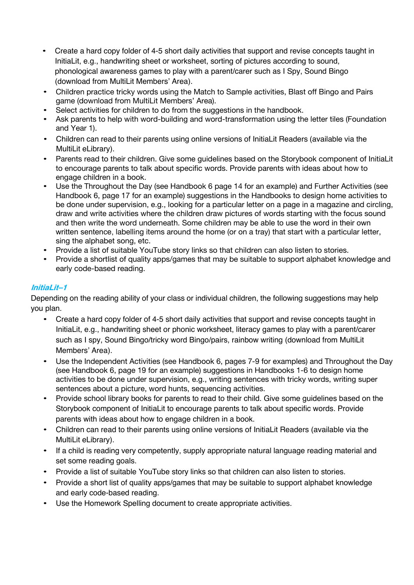- Create a hard copy folder of 4-5 short daily activities that support and revise concepts taught in InitiaLit, e.g., handwriting sheet or worksheet, sorting of pictures according to sound, phonological awareness games to play with a parent/carer such as I Spy, Sound Bingo (download from MultiLit Members' Area).
- Children practice tricky words using the Match to Sample activities, Blast off Bingo and Pairs game (download from MultiLit Members' Area).
- Select activities for children to do from the suggestions in the handbook.
- Ask parents to help with word-building and word-transformation using the letter tiles (Foundation and Year 1).
- Children can read to their parents using online versions of InitiaLit Readers (available via the MultiLit eLibrary).
- Parents read to their children. Give some guidelines based on the Storybook component of InitiaLit to encourage parents to talk about specific words. Provide parents with ideas about how to engage children in a book.
- Use the Throughout the Day (see Handbook 6 page 14 for an example) and Further Activities (see Handbook 6, page 17 for an example) suggestions in the Handbooks to design home activities to be done under supervision, e.g., looking for a particular letter on a page in a magazine and circling, draw and write activities where the children draw pictures of words starting with the focus sound and then write the word underneath. Some children may be able to use the word in their own written sentence, labelling items around the home (or on a tray) that start with a particular letter, sing the alphabet song, etc.
- Provide a list of suitable YouTube story links so that children can also listen to stories.
- Provide a shortlist of quality apps/games that may be suitable to support alphabet knowledge and early code-based reading.

### **InitiaLit–1**

Depending on the reading ability of your class or individual children, the following suggestions may help you plan.

- Create a hard copy folder of 4-5 short daily activities that support and revise concepts taught in InitiaLit, e.g., handwriting sheet or phonic worksheet, literacy games to play with a parent/carer such as I spy, Sound Bingo/tricky word Bingo/pairs, rainbow writing (download from MultiLit Members' Area).
- Use the Independent Activities (see Handbook 6, pages 7-9 for examples) and Throughout the Day (see Handbook 6, page 19 for an example) suggestions in Handbooks 1-6 to design home activities to be done under supervision, e.g., writing sentences with tricky words, writing super sentences about a picture, word hunts, sequencing activities.
- Provide school library books for parents to read to their child. Give some guidelines based on the Storybook component of InitiaLit to encourage parents to talk about specific words. Provide parents with ideas about how to engage children in a book.
- Children can read to their parents using online versions of InitiaLit Readers (available via the MultiLit eLibrary).
- If a child is reading very competently, supply appropriate natural language reading material and set some reading goals.
- Provide a list of suitable YouTube story links so that children can also listen to stories.
- Provide a short list of quality apps/games that may be suitable to support alphabet knowledge and early code-based reading.
- Use the Homework Spelling document to create appropriate activities.